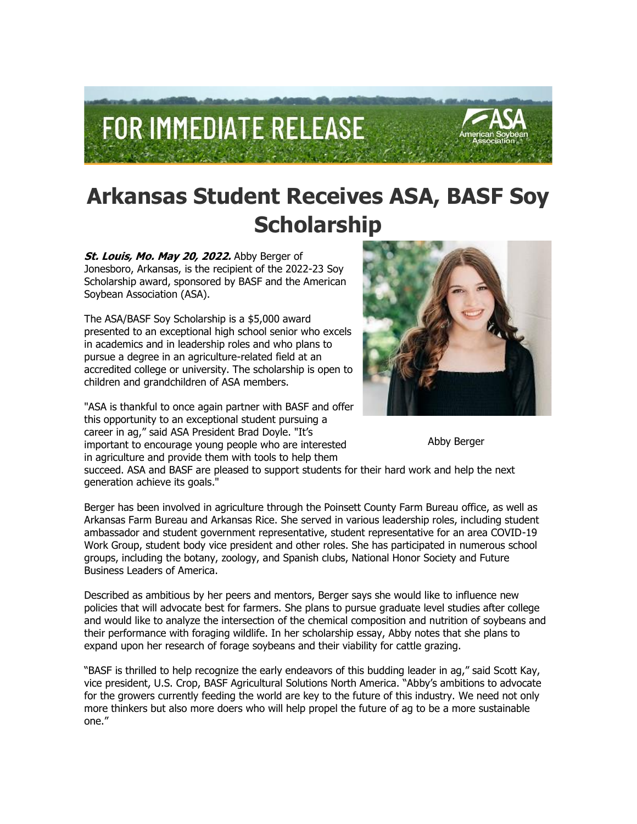

## **Arkansas Student Receives ASA, BASF Soy Scholarship**

St. Louis, Mo. May 20, 2022. Abby Berger of Jonesboro, Arkansas, is the recipient of the 2022-23 Soy Scholarship award, sponsored by BASF and the American Soybean Association (ASA).

The ASA/BASF Soy Scholarship is a \$5,000 award presented to an exceptional high school senior who excels in academics and in leadership roles and who plans to pursue a degree in an agriculture-related field at an accredited college or university. The scholarship is open to children and grandchildren of ASA members.

"ASA is thankful to once again partner with BASF and offer this opportunity to an exceptional student pursuing a career in ag," said ASA President Brad Doyle. "It's important to encourage young people who are interested in agriculture and provide them with tools to help them



Abby Berger

succeed. ASA and BASF are pleased to support students for their hard work and help the next generation achieve its goals."

Berger has been involved in agriculture through the Poinsett County Farm Bureau office, as well as Arkansas Farm Bureau and Arkansas Rice. She served in various leadership roles, including student ambassador and student government representative, student representative for an area COVID-19 Work Group, student body vice president and other roles. She has participated in numerous school groups, including the botany, zoology, and Spanish clubs, National Honor Society and Future Business Leaders of America.

Described as ambitious by her peers and mentors, Berger says she would like to influence new policies that will advocate best for farmers. She plans to pursue graduate level studies after college and would like to analyze the intersection of the chemical composition and nutrition of soybeans and their performance with foraging wildlife. In her scholarship essay, Abby notes that she plans to expand upon her research of forage soybeans and their viability for cattle grazing.

"BASF is thrilled to help recognize the early endeavors of this budding leader in ag," said Scott Kay, vice president, U.S. Crop, BASF Agricultural Solutions North America. "Abby's ambitions to advocate for the growers currently feeding the world are key to the future of this industry. We need not only more thinkers but also more doers who will help propel the future of ag to be a more sustainable one."